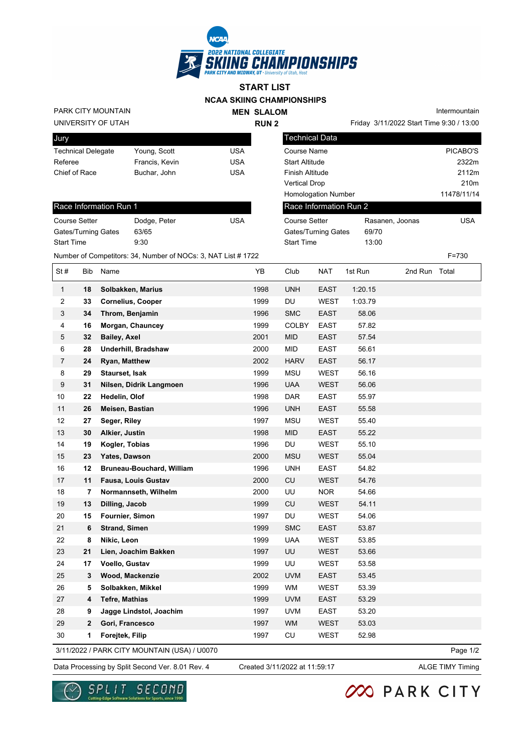

## **NCAA SKIING CHAMPIONSHIPS START LIST**

UNIVERSITY OF UTAH PARK CITY MOUNTAIN **MEN SLALOM RUN 2**

Intermountain

| Jury                      |                |     |
|---------------------------|----------------|-----|
| <b>Technical Delegate</b> | Young, Scott   | USA |
| Referee                   | Francis, Kevin | USA |
| Chief of Race             | Buchar, John   | USA |

| <b>Technical Data</b>      |                 |                  |
|----------------------------|-----------------|------------------|
| Course Name                |                 | PICABO'S         |
| <b>Start Altitude</b>      |                 | 2322m            |
| Finish Altitude            |                 | 2112m            |
| Vertical Drop              |                 | 210 <sub>m</sub> |
| <b>Homologation Number</b> |                 | 11478/11/14      |
| Race Information Run 2     |                 |                  |
| <b>Course Setter</b>       | Rasanen, Joonas | USA              |
| Gates/Turning Gates        | 69/70           |                  |

Start Time 13:00

## Race Information Run 1

| Course Setter              | Dodge, Peter | USA |
|----------------------------|--------------|-----|
| <b>Gates/Turning Gates</b> | 63/65        |     |
| <b>Start Time</b>          | 9:30         |     |

|                |              | Number of Competitors: 34, Number of NOCs: 3, NAT List # 1722 |      |              |             |         |               | $F = 730$ |  |
|----------------|--------------|---------------------------------------------------------------|------|--------------|-------------|---------|---------------|-----------|--|
| St#            | Bib          | Name                                                          | YB   | Club         | <b>NAT</b>  | 1st Run | 2nd Run Total |           |  |
| 1              | 18           | Solbakken, Marius                                             | 1998 | <b>UNH</b>   | <b>EAST</b> | 1:20.15 |               |           |  |
| 2              | 33           | <b>Cornelius, Cooper</b>                                      | 1999 | DU           | <b>WEST</b> | 1:03.79 |               |           |  |
| 3              | 34           | Throm, Benjamin                                               | 1996 | <b>SMC</b>   | <b>EAST</b> | 58.06   |               |           |  |
| 4              | 16           | Morgan, Chauncey                                              | 1999 | <b>COLBY</b> | <b>EAST</b> | 57.82   |               |           |  |
| 5              | 32           | <b>Bailey, Axel</b>                                           | 2001 | <b>MID</b>   | <b>EAST</b> | 57.54   |               |           |  |
| 6              | 28           | <b>Underhill, Bradshaw</b>                                    | 2000 | <b>MID</b>   | <b>EAST</b> | 56.61   |               |           |  |
| $\overline{7}$ | 24           | Ryan, Matthew                                                 | 2002 | <b>HARV</b>  | <b>EAST</b> | 56.17   |               |           |  |
| 8              | 29           | Staurset, Isak                                                | 1999 | <b>MSU</b>   | <b>WEST</b> | 56.16   |               |           |  |
| 9              | 31           | Nilsen, Didrik Langmoen                                       | 1996 | <b>UAA</b>   | <b>WEST</b> | 56.06   |               |           |  |
| 10             | 22           | Hedelin, Olof                                                 | 1998 | <b>DAR</b>   | <b>EAST</b> | 55.97   |               |           |  |
| 11             | 26           | Meisen, Bastian                                               | 1996 | <b>UNH</b>   | <b>EAST</b> | 55.58   |               |           |  |
| 12             | 27           | Seger, Riley                                                  | 1997 | <b>MSU</b>   | <b>WEST</b> | 55.40   |               |           |  |
| 13             | 30           | Alkier, Justin                                                | 1998 | <b>MID</b>   | <b>EAST</b> | 55.22   |               |           |  |
| 14             | 19           | Kogler, Tobias                                                | 1996 | DU           | <b>WEST</b> | 55.10   |               |           |  |
| 15             | 23           | Yates, Dawson                                                 | 2000 | <b>MSU</b>   | <b>WEST</b> | 55.04   |               |           |  |
| 16             | 12           | <b>Bruneau-Bouchard, William</b>                              | 1996 | <b>UNH</b>   | <b>EAST</b> | 54.82   |               |           |  |
| 17             | 11           | Fausa, Louis Gustav                                           | 2000 | CU           | <b>WEST</b> | 54.76   |               |           |  |
| 18             | 7            | Normannseth, Wilhelm                                          | 2000 | UU           | <b>NOR</b>  | 54.66   |               |           |  |
| 19             | 13           | Dilling, Jacob                                                | 1999 | CU           | <b>WEST</b> | 54.11   |               |           |  |
| 20             | 15           | Fournier, Simon                                               | 1997 | DU           | <b>WEST</b> | 54.06   |               |           |  |
| 21             | 6            | <b>Strand, Simen</b>                                          | 1999 | <b>SMC</b>   | <b>EAST</b> | 53.87   |               |           |  |
| 22             | 8            | Nikic, Leon                                                   | 1999 | <b>UAA</b>   | <b>WEST</b> | 53.85   |               |           |  |
| 23             | 21           | Lien, Joachim Bakken                                          | 1997 | UU           | <b>WEST</b> | 53.66   |               |           |  |
| 24             | 17           | Voello, Gustav                                                | 1999 | UU           | <b>WEST</b> | 53.58   |               |           |  |
| 25             | 3            | Wood, Mackenzie                                               | 2002 | <b>UVM</b>   | <b>EAST</b> | 53.45   |               |           |  |
| 26             | 5            | Solbakken, Mikkel                                             | 1999 | <b>WM</b>    | <b>WEST</b> | 53.39   |               |           |  |
| 27             | 4            | <b>Tefre, Mathias</b>                                         | 1999 | <b>UVM</b>   | <b>EAST</b> | 53.29   |               |           |  |
| 28             | 9            | Jagge Lindstol, Joachim                                       | 1997 | <b>UVM</b>   | <b>EAST</b> | 53.20   |               |           |  |
| 29             | $\mathbf{2}$ | Gori, Francesco                                               | 1997 | WM           | <b>WEST</b> | 53.03   |               |           |  |
| 30             | 1            | Forejtek, Filip                                               | 1997 | CU           | WEST        | 52.98   |               |           |  |

3/11/2022 / PARK CITY MOUNTAIN (USA) / U0070

Data Processing by Split Second Ver. 8.01 Rev. 4 Created 3/11/2022 at 11:59:17 ALGE TIMY Timing

Page 1/2

Created 3/11/2022 at 11:59:17